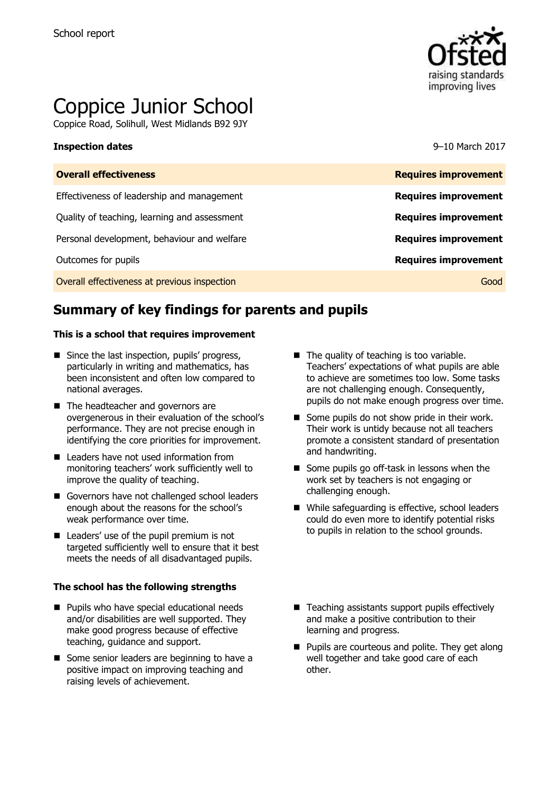

# Coppice Junior School

Coppice Road, Solihull, West Midlands B92 9JY

### **Inspection dates** 9–10 March 2017

| <b>Overall effectiveness</b>                 | <b>Requires improvement</b> |
|----------------------------------------------|-----------------------------|
| Effectiveness of leadership and management   | <b>Requires improvement</b> |
| Quality of teaching, learning and assessment | <b>Requires improvement</b> |
| Personal development, behaviour and welfare  | <b>Requires improvement</b> |
| Outcomes for pupils                          | <b>Requires improvement</b> |
| Overall effectiveness at previous inspection | Good                        |
|                                              |                             |

# **Summary of key findings for parents and pupils**

### **This is a school that requires improvement**

- Since the last inspection, pupils' progress, particularly in writing and mathematics, has been inconsistent and often low compared to national averages.
- The headteacher and governors are overgenerous in their evaluation of the school's performance. They are not precise enough in identifying the core priorities for improvement.
- Leaders have not used information from monitoring teachers' work sufficiently well to improve the quality of teaching.
- Governors have not challenged school leaders enough about the reasons for the school's weak performance over time.
- Leaders' use of the pupil premium is not targeted sufficiently well to ensure that it best meets the needs of all disadvantaged pupils.

### **The school has the following strengths**

- **Pupils who have special educational needs** and/or disabilities are well supported. They make good progress because of effective teaching, guidance and support.
- Some senior leaders are beginning to have a positive impact on improving teaching and raising levels of achievement.
- $\blacksquare$  The quality of teaching is too variable. Teachers' expectations of what pupils are able to achieve are sometimes too low. Some tasks are not challenging enough. Consequently, pupils do not make enough progress over time.
- Some pupils do not show pride in their work. Their work is untidy because not all teachers promote a consistent standard of presentation and handwriting.
- Some pupils go off-task in lessons when the work set by teachers is not engaging or challenging enough.
- While safeguarding is effective, school leaders could do even more to identify potential risks to pupils in relation to the school grounds.
- $\blacksquare$  Teaching assistants support pupils effectively and make a positive contribution to their learning and progress.
- **Pupils are courteous and polite. They get along** well together and take good care of each other.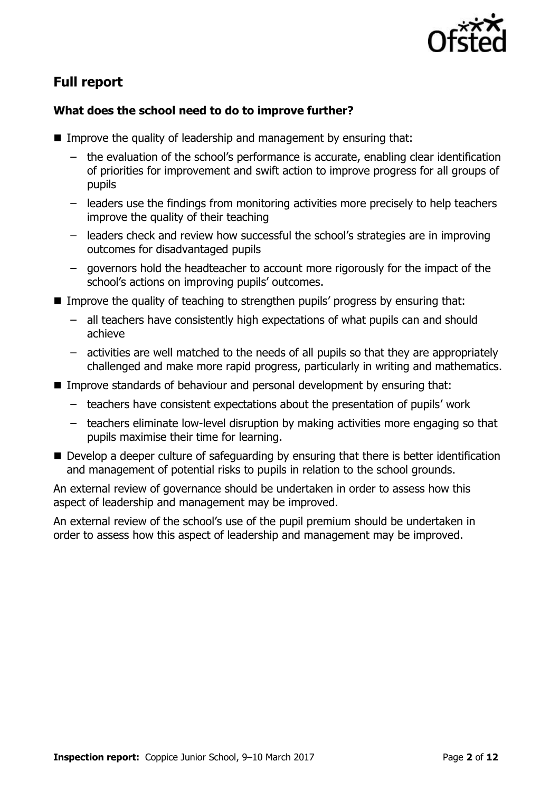

# **Full report**

### **What does the school need to do to improve further?**

- **IMPROVE the quality of leadership and management by ensuring that:** 
	- the evaluation of the school's performance is accurate, enabling clear identification of priorities for improvement and swift action to improve progress for all groups of pupils
	- leaders use the findings from monitoring activities more precisely to help teachers improve the quality of their teaching
	- leaders check and review how successful the school's strategies are in improving outcomes for disadvantaged pupils
	- governors hold the headteacher to account more rigorously for the impact of the school's actions on improving pupils' outcomes.
- Improve the quality of teaching to strengthen pupils' progress by ensuring that:
	- all teachers have consistently high expectations of what pupils can and should achieve
	- activities are well matched to the needs of all pupils so that they are appropriately challenged and make more rapid progress, particularly in writing and mathematics.
- Improve standards of behaviour and personal development by ensuring that:
	- teachers have consistent expectations about the presentation of pupils' work
	- teachers eliminate low-level disruption by making activities more engaging so that pupils maximise their time for learning.
- Develop a deeper culture of safeguarding by ensuring that there is better identification and management of potential risks to pupils in relation to the school grounds.

An external review of governance should be undertaken in order to assess how this aspect of leadership and management may be improved.

An external review of the school's use of the pupil premium should be undertaken in order to assess how this aspect of leadership and management may be improved.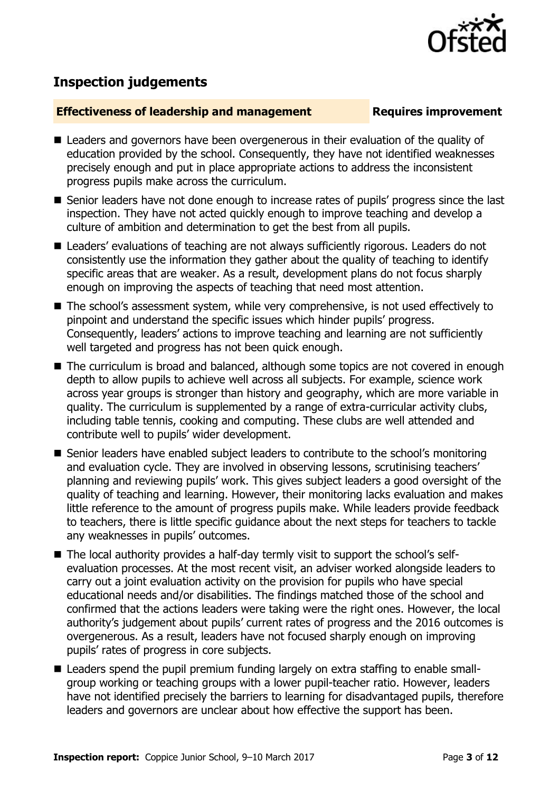

# **Inspection judgements**

### **Effectiveness of leadership and management Requires improvement**

- Leaders and governors have been overgenerous in their evaluation of the quality of education provided by the school. Consequently, they have not identified weaknesses precisely enough and put in place appropriate actions to address the inconsistent progress pupils make across the curriculum.
- Senior leaders have not done enough to increase rates of pupils' progress since the last inspection. They have not acted quickly enough to improve teaching and develop a culture of ambition and determination to get the best from all pupils.
- Leaders' evaluations of teaching are not always sufficiently rigorous. Leaders do not consistently use the information they gather about the quality of teaching to identify specific areas that are weaker. As a result, development plans do not focus sharply enough on improving the aspects of teaching that need most attention.
- The school's assessment system, while very comprehensive, is not used effectively to pinpoint and understand the specific issues which hinder pupils' progress. Consequently, leaders' actions to improve teaching and learning are not sufficiently well targeted and progress has not been quick enough.
- The curriculum is broad and balanced, although some topics are not covered in enough depth to allow pupils to achieve well across all subjects. For example, science work across year groups is stronger than history and geography, which are more variable in quality. The curriculum is supplemented by a range of extra-curricular activity clubs, including table tennis, cooking and computing. These clubs are well attended and contribute well to pupils' wider development.
- Senior leaders have enabled subiect leaders to contribute to the school's monitoring and evaluation cycle. They are involved in observing lessons, scrutinising teachers' planning and reviewing pupils' work. This gives subject leaders a good oversight of the quality of teaching and learning. However, their monitoring lacks evaluation and makes little reference to the amount of progress pupils make. While leaders provide feedback to teachers, there is little specific guidance about the next steps for teachers to tackle any weaknesses in pupils' outcomes.
- The local authority provides a half-day termly visit to support the school's selfevaluation processes. At the most recent visit, an adviser worked alongside leaders to carry out a joint evaluation activity on the provision for pupils who have special educational needs and/or disabilities. The findings matched those of the school and confirmed that the actions leaders were taking were the right ones. However, the local authority's judgement about pupils' current rates of progress and the 2016 outcomes is overgenerous. As a result, leaders have not focused sharply enough on improving pupils' rates of progress in core subjects.
- Leaders spend the pupil premium funding largely on extra staffing to enable smallgroup working or teaching groups with a lower pupil-teacher ratio. However, leaders have not identified precisely the barriers to learning for disadvantaged pupils, therefore leaders and governors are unclear about how effective the support has been.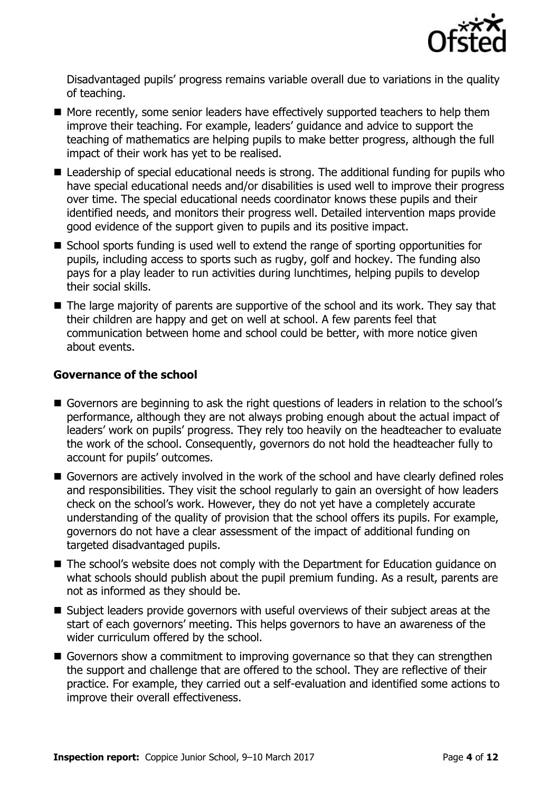

Disadvantaged pupils' progress remains variable overall due to variations in the quality of teaching.

- More recently, some senior leaders have effectively supported teachers to help them improve their teaching. For example, leaders' guidance and advice to support the teaching of mathematics are helping pupils to make better progress, although the full impact of their work has yet to be realised.
- Leadership of special educational needs is strong. The additional funding for pupils who have special educational needs and/or disabilities is used well to improve their progress over time. The special educational needs coordinator knows these pupils and their identified needs, and monitors their progress well. Detailed intervention maps provide good evidence of the support given to pupils and its positive impact.
- School sports funding is used well to extend the range of sporting opportunities for pupils, including access to sports such as rugby, golf and hockey. The funding also pays for a play leader to run activities during lunchtimes, helping pupils to develop their social skills.
- The large majority of parents are supportive of the school and its work. They say that their children are happy and get on well at school. A few parents feel that communication between home and school could be better, with more notice given about events.

### **Governance of the school**

- Governors are beginning to ask the right questions of leaders in relation to the school's performance, although they are not always probing enough about the actual impact of leaders' work on pupils' progress. They rely too heavily on the headteacher to evaluate the work of the school. Consequently, governors do not hold the headteacher fully to account for pupils' outcomes.
- Governors are actively involved in the work of the school and have clearly defined roles and responsibilities. They visit the school regularly to gain an oversight of how leaders check on the school's work. However, they do not yet have a completely accurate understanding of the quality of provision that the school offers its pupils. For example, governors do not have a clear assessment of the impact of additional funding on targeted disadvantaged pupils.
- The school's website does not comply with the Department for Education guidance on what schools should publish about the pupil premium funding. As a result, parents are not as informed as they should be.
- Subject leaders provide governors with useful overviews of their subject areas at the start of each governors' meeting. This helps governors to have an awareness of the wider curriculum offered by the school.
- Governors show a commitment to improving governance so that they can strengthen the support and challenge that are offered to the school. They are reflective of their practice. For example, they carried out a self-evaluation and identified some actions to improve their overall effectiveness.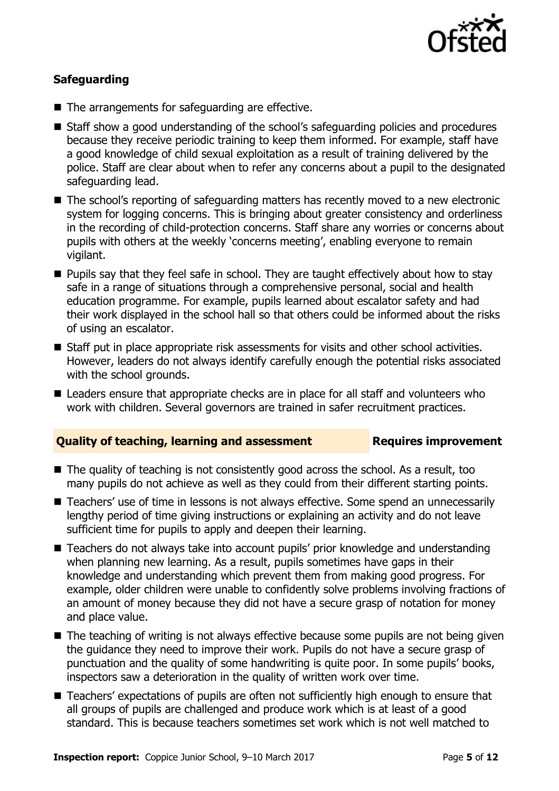

### **Safeguarding**

- The arrangements for safeguarding are effective.
- Staff show a good understanding of the school's safeguarding policies and procedures because they receive periodic training to keep them informed. For example, staff have a good knowledge of child sexual exploitation as a result of training delivered by the police. Staff are clear about when to refer any concerns about a pupil to the designated safeguarding lead.
- The school's reporting of safeguarding matters has recently moved to a new electronic system for logging concerns. This is bringing about greater consistency and orderliness in the recording of child-protection concerns. Staff share any worries or concerns about pupils with others at the weekly 'concerns meeting', enabling everyone to remain vigilant.
- **Pupils say that they feel safe in school. They are taught effectively about how to stay** safe in a range of situations through a comprehensive personal, social and health education programme. For example, pupils learned about escalator safety and had their work displayed in the school hall so that others could be informed about the risks of using an escalator.
- Staff put in place appropriate risk assessments for visits and other school activities. However, leaders do not always identify carefully enough the potential risks associated with the school grounds.
- Leaders ensure that appropriate checks are in place for all staff and volunteers who work with children. Several governors are trained in safer recruitment practices.

### **Quality of teaching, learning and assessment France Requires improvement**

- $\blacksquare$  The quality of teaching is not consistently good across the school. As a result, too many pupils do not achieve as well as they could from their different starting points.
- Teachers' use of time in lessons is not always effective. Some spend an unnecessarily lengthy period of time giving instructions or explaining an activity and do not leave sufficient time for pupils to apply and deepen their learning.
- Teachers do not always take into account pupils' prior knowledge and understanding when planning new learning. As a result, pupils sometimes have gaps in their knowledge and understanding which prevent them from making good progress. For example, older children were unable to confidently solve problems involving fractions of an amount of money because they did not have a secure grasp of notation for money and place value.
- The teaching of writing is not always effective because some pupils are not being given the guidance they need to improve their work. Pupils do not have a secure grasp of punctuation and the quality of some handwriting is quite poor. In some pupils' books, inspectors saw a deterioration in the quality of written work over time.
- Teachers' expectations of pupils are often not sufficiently high enough to ensure that all groups of pupils are challenged and produce work which is at least of a good standard. This is because teachers sometimes set work which is not well matched to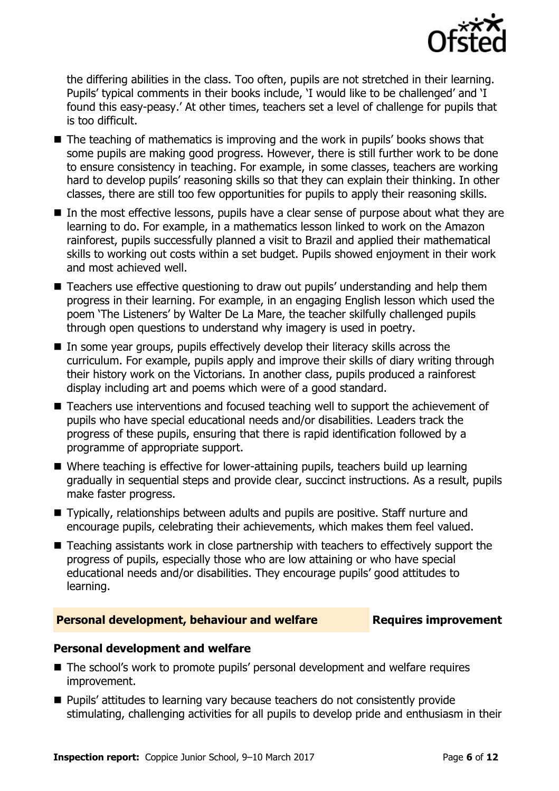

the differing abilities in the class. Too often, pupils are not stretched in their learning. Pupils' typical comments in their books include, 'I would like to be challenged' and 'I found this easy-peasy.' At other times, teachers set a level of challenge for pupils that is too difficult.

- $\blacksquare$  The teaching of mathematics is improving and the work in pupils' books shows that some pupils are making good progress. However, there is still further work to be done to ensure consistency in teaching. For example, in some classes, teachers are working hard to develop pupils' reasoning skills so that they can explain their thinking. In other classes, there are still too few opportunities for pupils to apply their reasoning skills.
- In the most effective lessons, pupils have a clear sense of purpose about what they are learning to do. For example, in a mathematics lesson linked to work on the Amazon rainforest, pupils successfully planned a visit to Brazil and applied their mathematical skills to working out costs within a set budget. Pupils showed enjoyment in their work and most achieved well.
- Teachers use effective questioning to draw out pupils' understanding and help them progress in their learning. For example, in an engaging English lesson which used the poem 'The Listeners' by Walter De La Mare, the teacher skilfully challenged pupils through open questions to understand why imagery is used in poetry.
- $\blacksquare$  In some year groups, pupils effectively develop their literacy skills across the curriculum. For example, pupils apply and improve their skills of diary writing through their history work on the Victorians. In another class, pupils produced a rainforest display including art and poems which were of a good standard.
- Teachers use interventions and focused teaching well to support the achievement of pupils who have special educational needs and/or disabilities. Leaders track the progress of these pupils, ensuring that there is rapid identification followed by a programme of appropriate support.
- Where teaching is effective for lower-attaining pupils, teachers build up learning gradually in sequential steps and provide clear, succinct instructions. As a result, pupils make faster progress.
- Typically, relationships between adults and pupils are positive. Staff nurture and encourage pupils, celebrating their achievements, which makes them feel valued.
- Teaching assistants work in close partnership with teachers to effectively support the progress of pupils, especially those who are low attaining or who have special educational needs and/or disabilities. They encourage pupils' good attitudes to learning.

### **Personal development, behaviour and welfare Fig. 2.1 Requires improvement**

### **Personal development and welfare**

- The school's work to promote pupils' personal development and welfare requires improvement.
- **Pupils' attitudes to learning vary because teachers do not consistently provide** stimulating, challenging activities for all pupils to develop pride and enthusiasm in their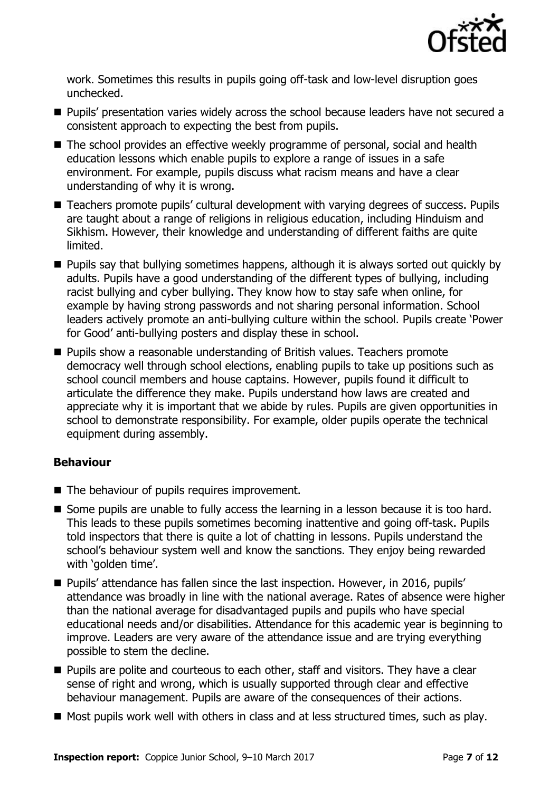

work. Sometimes this results in pupils going off-task and low-level disruption goes unchecked.

- **Pupils' presentation varies widely across the school because leaders have not secured a** consistent approach to expecting the best from pupils.
- The school provides an effective weekly programme of personal, social and health education lessons which enable pupils to explore a range of issues in a safe environment. For example, pupils discuss what racism means and have a clear understanding of why it is wrong.
- Teachers promote pupils' cultural development with varying degrees of success. Pupils are taught about a range of religions in religious education, including Hinduism and Sikhism. However, their knowledge and understanding of different faiths are quite limited.
- **Pupils say that bullying sometimes happens, although it is always sorted out quickly by** adults. Pupils have a good understanding of the different types of bullying, including racist bullying and cyber bullying. They know how to stay safe when online, for example by having strong passwords and not sharing personal information. School leaders actively promote an anti-bullying culture within the school. Pupils create 'Power for Good' anti-bullying posters and display these in school.
- **Pupils show a reasonable understanding of British values. Teachers promote** democracy well through school elections, enabling pupils to take up positions such as school council members and house captains. However, pupils found it difficult to articulate the difference they make. Pupils understand how laws are created and appreciate why it is important that we abide by rules. Pupils are given opportunities in school to demonstrate responsibility. For example, older pupils operate the technical equipment during assembly.

### **Behaviour**

- The behaviour of pupils requires improvement.
- Some pupils are unable to fully access the learning in a lesson because it is too hard. This leads to these pupils sometimes becoming inattentive and going off-task. Pupils told inspectors that there is quite a lot of chatting in lessons. Pupils understand the school's behaviour system well and know the sanctions. They enjoy being rewarded with 'golden time'.
- Pupils' attendance has fallen since the last inspection. However, in 2016, pupils' attendance was broadly in line with the national average. Rates of absence were higher than the national average for disadvantaged pupils and pupils who have special educational needs and/or disabilities. Attendance for this academic year is beginning to improve. Leaders are very aware of the attendance issue and are trying everything possible to stem the decline.
- **Pupils are polite and courteous to each other, staff and visitors. They have a clear** sense of right and wrong, which is usually supported through clear and effective behaviour management. Pupils are aware of the consequences of their actions.
- Most pupils work well with others in class and at less structured times, such as play.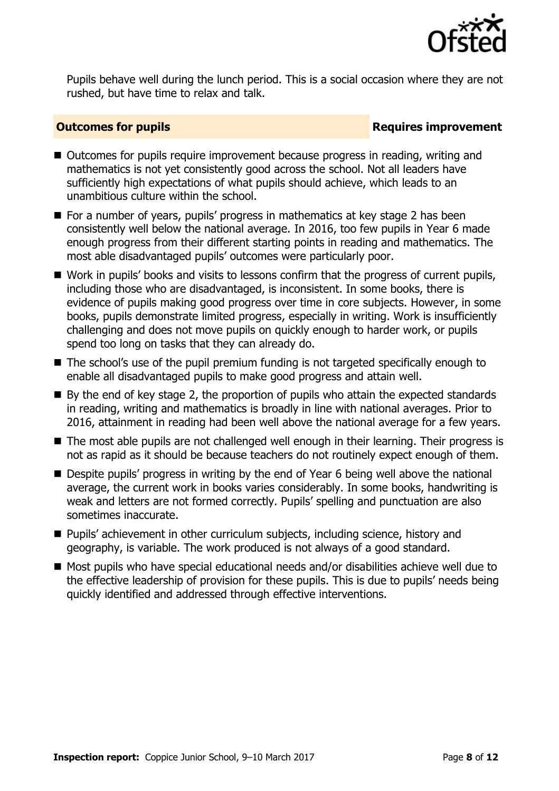

Pupils behave well during the lunch period. This is a social occasion where they are not rushed, but have time to relax and talk.

### **Outcomes for pupils Requires improvement**

- Outcomes for pupils require improvement because progress in reading, writing and mathematics is not yet consistently good across the school. Not all leaders have sufficiently high expectations of what pupils should achieve, which leads to an unambitious culture within the school.
- For a number of years, pupils' progress in mathematics at key stage 2 has been consistently well below the national average. In 2016, too few pupils in Year 6 made enough progress from their different starting points in reading and mathematics. The most able disadvantaged pupils' outcomes were particularly poor.
- Work in pupils' books and visits to lessons confirm that the progress of current pupils, including those who are disadvantaged, is inconsistent. In some books, there is evidence of pupils making good progress over time in core subjects. However, in some books, pupils demonstrate limited progress, especially in writing. Work is insufficiently challenging and does not move pupils on quickly enough to harder work, or pupils spend too long on tasks that they can already do.
- The school's use of the pupil premium funding is not targeted specifically enough to enable all disadvantaged pupils to make good progress and attain well.
- By the end of key stage 2, the proportion of pupils who attain the expected standards in reading, writing and mathematics is broadly in line with national averages. Prior to 2016, attainment in reading had been well above the national average for a few years.
- The most able pupils are not challenged well enough in their learning. Their progress is not as rapid as it should be because teachers do not routinely expect enough of them.
- Despite pupils' progress in writing by the end of Year 6 being well above the national average, the current work in books varies considerably. In some books, handwriting is weak and letters are not formed correctly. Pupils' spelling and punctuation are also sometimes inaccurate.
- Pupils' achievement in other curriculum subjects, including science, history and geography, is variable. The work produced is not always of a good standard.
- Most pupils who have special educational needs and/or disabilities achieve well due to the effective leadership of provision for these pupils. This is due to pupils' needs being quickly identified and addressed through effective interventions.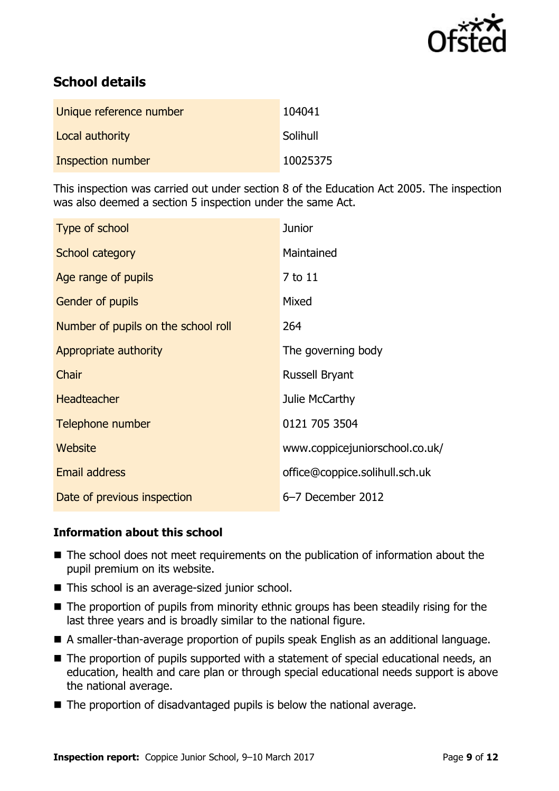

# **School details**

| Unique reference number | 104041   |
|-------------------------|----------|
| Local authority         | Solihull |
| Inspection number       | 10025375 |

This inspection was carried out under section 8 of the Education Act 2005. The inspection was also deemed a section 5 inspection under the same Act.

| Type of school                      | <b>Junior</b>                  |
|-------------------------------------|--------------------------------|
| School category                     | Maintained                     |
| Age range of pupils                 | 7 to 11                        |
| <b>Gender of pupils</b>             | Mixed                          |
| Number of pupils on the school roll | 264                            |
| Appropriate authority               | The governing body             |
| Chair                               | <b>Russell Bryant</b>          |
| <b>Headteacher</b>                  | Julie McCarthy                 |
| Telephone number                    | 0121 705 3504                  |
| Website                             | www.coppicejuniorschool.co.uk/ |
| <b>Email address</b>                | office@coppice.solihull.sch.uk |
| Date of previous inspection         | 6-7 December 2012              |

### **Information about this school**

- The school does not meet requirements on the publication of information about the pupil premium on its website.
- This school is an average-sized junior school.
- The proportion of pupils from minority ethnic groups has been steadily rising for the last three years and is broadly similar to the national figure.
- A smaller-than-average proportion of pupils speak English as an additional language.
- The proportion of pupils supported with a statement of special educational needs, an education, health and care plan or through special educational needs support is above the national average.
- $\blacksquare$  The proportion of disadvantaged pupils is below the national average.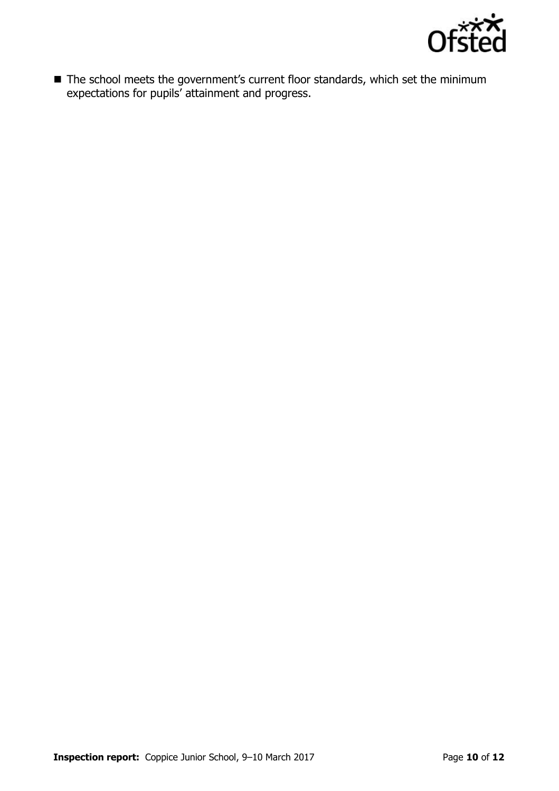

■ The school meets the government's current floor standards, which set the minimum expectations for pupils' attainment and progress.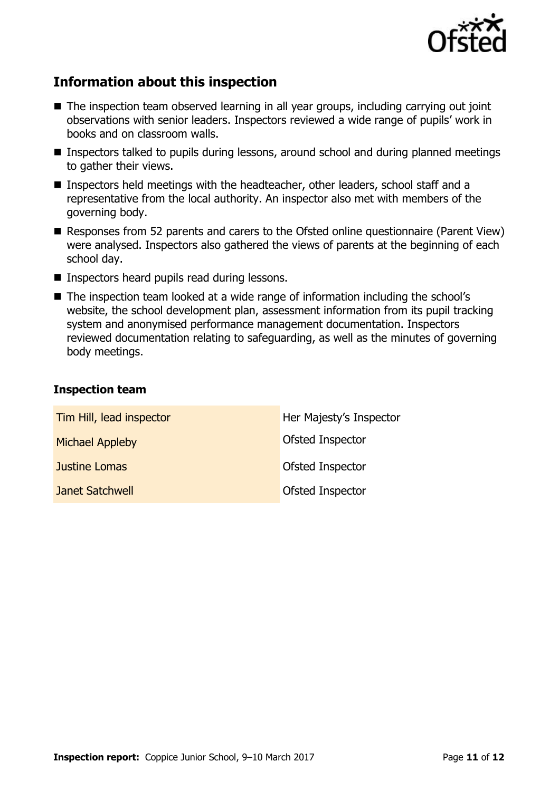

# **Information about this inspection**

- The inspection team observed learning in all year groups, including carrying out joint observations with senior leaders. Inspectors reviewed a wide range of pupils' work in books and on classroom walls.
- Inspectors talked to pupils during lessons, around school and during planned meetings to gather their views.
- Inspectors held meetings with the headteacher, other leaders, school staff and a representative from the local authority. An inspector also met with members of the governing body.
- Responses from 52 parents and carers to the Ofsted online questionnaire (Parent View) were analysed. Inspectors also gathered the views of parents at the beginning of each school day.
- **Inspectors heard pupils read during lessons.**
- The inspection team looked at a wide range of information including the school's website, the school development plan, assessment information from its pupil tracking system and anonymised performance management documentation. Inspectors reviewed documentation relating to safeguarding, as well as the minutes of governing body meetings.

### **Inspection team**

| Tim Hill, lead inspector | Her Majesty's Inspector |
|--------------------------|-------------------------|
| <b>Michael Appleby</b>   | Ofsted Inspector        |
| Justine Lomas            | Ofsted Inspector        |
| Janet Satchwell          | Ofsted Inspector        |